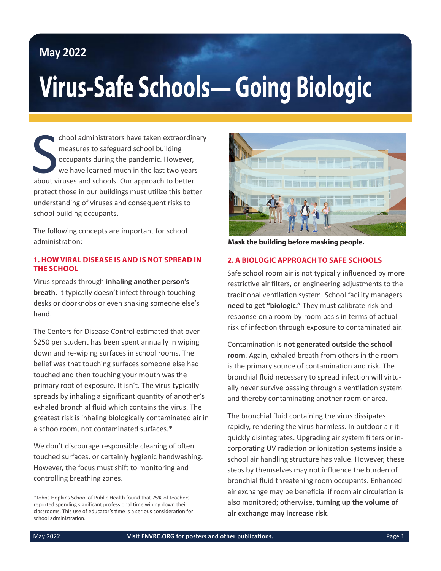## **May 2022**

# **Virus-Safe Schools— Going Biologic**

chool administrators have taken extraordin<br>
measures to safeguard school building<br>
occupants during the pandemic. However,<br>
we have learned much in the last two years<br>
about viruses and schools. Our approach to better chool administrators have taken extraordinary measures to safeguard school building occupants during the pandemic. However, we have learned much in the last two years protect those in our buildings must utilize this better understanding of viruses and consequent risks to school building occupants.

The following concepts are important for school administration:

#### **1. HOW VIRAL DISEASE IS AND IS NOT SPREAD IN THE SCHOOL**

Virus spreads through **inhaling another person's breath**. It typically doesn't infect through touching desks or doorknobs or even shaking someone else's hand.

The Centers for Disease Control estimated that over \$250 per student has been spent annually in wiping down and re-wiping surfaces in school rooms. The belief was that touching surfaces someone else had touched and then touching your mouth was the primary root of exposure. It isn't. The virus typically spreads by inhaling a significant quantity of another's exhaled bronchial fluid which contains the virus. The greatest risk is inhaling biologically contaminated air in a schoolroom, not contaminated surfaces.\*

We don't discourage responsible cleaning of often touched surfaces, or certainly hygienic handwashing. However, the focus must shift to monitoring and controlling breathing zones.



**Mask the building before masking people.**

### **2. A BIOLOGIC APPROACH TO SAFE SCHOOLS**

Safe school room air is not typically influenced by more restrictive air filters, or engineering adjustments to the traditional ventilation system. School facility managers **need to get "biologic."** They must calibrate risk and response on a room-by-room basis in terms of actual risk of infection through exposure to contaminated air.

Contamination is **not generated outside the school room**. Again, exhaled breath from others in the room is the primary source of contamination and risk. The bronchial fluid necessary to spread infection will virtually never survive passing through a ventilation system and thereby contaminating another room or area.

The bronchial fluid containing the virus dissipates rapidly, rendering the virus harmless. In outdoor air it quickly disintegrates. Upgrading air system filters or incorporating UV radiation or ionization systems inside a school air handling structure has value. However, these steps by themselves may not influence the burden of bronchial fluid threatening room occupants. Enhanced air exchange may be beneficial if room air circulation is also monitored; otherwise, **turning up the volume of air exchange may increase risk**.

<sup>\*</sup>Johns Hopkins School of Public Health found that 75% of teachers reported spending significant professional time wiping down their classrooms. This use of educator's time is a serious consideration for school administration.